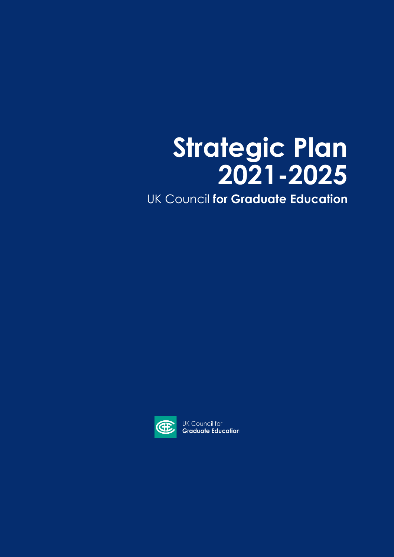# **Strategic Plan 2021-2025**

UK Council **for Graduate Education**



UK Council for **Graduate Education**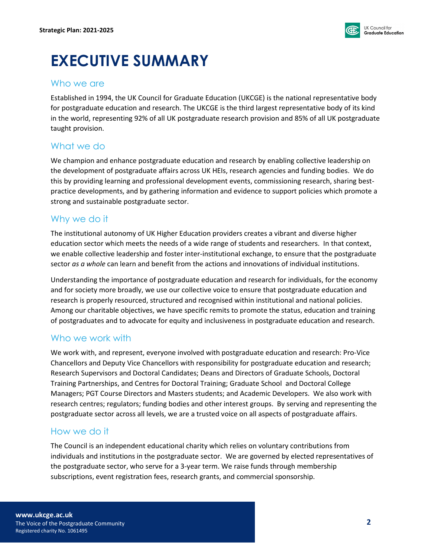

# **EXECUTIVE SUMMARY**

### Who we are

Established in 1994, the UK Council for Graduate Education (UKCGE) is the national representative body for postgraduate education and research. The UKCGE is the third largest representative body of its kind in the world, representing 92% of all UK postgraduate research provision and 85% of all UK postgraduate taught provision.

### What we do

We champion and enhance postgraduate education and research by enabling collective leadership on the development of postgraduate affairs across UK HEIs, research agencies and funding bodies. We do this by providing learning and professional development events, commissioning research, sharing bestpractice developments, and by gathering information and evidence to support policies which promote a strong and sustainable postgraduate sector.

### Why we do it

The institutional autonomy of UK Higher Education providers creates a vibrant and diverse higher education sector which meets the needs of a wide range of students and researchers. In that context, we enable collective leadership and foster inter-institutional exchange, to ensure that the postgraduate sector *as a whole* can learn and benefit from the actions and innovations of individual institutions.

Understanding the importance of postgraduate education and research for individuals, for the economy and for society more broadly, we use our collective voice to ensure that postgraduate education and research is properly resourced, structured and recognised within institutional and national policies. Among our charitable objectives, we have specific remits to promote the status, education and training of postgraduates and to advocate for equity and inclusiveness in postgraduate education and research.

# Who we work with

We work with, and represent, everyone involved with postgraduate education and research: Pro-Vice Chancellors and Deputy Vice Chancellors with responsibility for postgraduate education and research; Research Supervisors and Doctoral Candidates; Deans and Directors of Graduate Schools, Doctoral Training Partnerships, and Centres for Doctoral Training; Graduate School and Doctoral College Managers; PGT Course Directors and Masters students; and Academic Developers. We also work with research centres; regulators; funding bodies and other interest groups. By serving and representing the postgraduate sector across all levels, we are a trusted voice on all aspects of postgraduate affairs.

# How we do it

The Council is an independent educational charity which relies on voluntary contributions from individuals and institutions in the postgraduate sector. We are governed by elected representatives of the postgraduate sector, who serve for a 3-year term. We raise funds through membership subscriptions, event registration fees, research grants, and commercial sponsorship.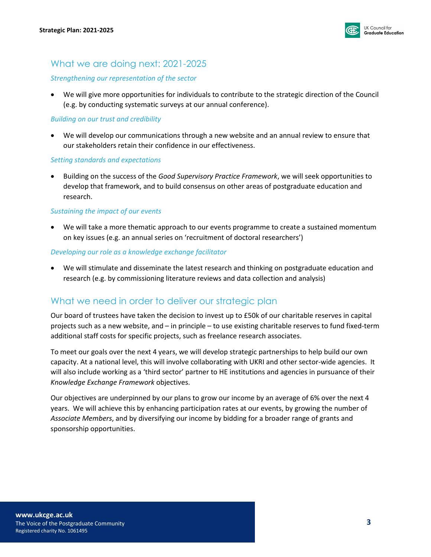

### What we are doing next: 2021-2025

### *Strengthening our representation of the sector*

• We will give more opportunities for individuals to contribute to the strategic direction of the Council (e.g. by conducting systematic surveys at our annual conference).

### *Building on our trust and credibility*

• We will develop our communications through a new website and an annual review to ensure that our stakeholders retain their confidence in our effectiveness.

#### *Setting standards and expectations*

• Building on the success of the *Good Supervisory Practice Framework*, we will seek opportunities to develop that framework, and to build consensus on other areas of postgraduate education and research.

#### *Sustaining the impact of our events*

• We will take a more thematic approach to our events programme to create a sustained momentum on key issues (e.g. an annual series on 'recruitment of doctoral researchers')

#### *Developing our role as a knowledge exchange facilitator*

• We will stimulate and disseminate the latest research and thinking on postgraduate education and research (e.g. by commissioning literature reviews and data collection and analysis)

# What we need in order to deliver our strategic plan

Our board of trustees have taken the decision to invest up to £50k of our charitable reserves in capital projects such as a new website, and – in principle – to use existing charitable reserves to fund fixed-term additional staff costs for specific projects, such as freelance research associates.

To meet our goals over the next 4 years, we will develop strategic partnerships to help build our own capacity. At a national level, this will involve collaborating with UKRI and other sector-wide agencies. It will also include working as a 'third sector' partner to HE institutions and agencies in pursuance of their *Knowledge Exchange Framework* objectives.

Our objectives are underpinned by our plans to grow our income by an average of 6% over the next 4 years. We will achieve this by enhancing participation rates at our events, by growing the number of *Associate Members*, and by diversifying our income by bidding for a broader range of grants and sponsorship opportunities.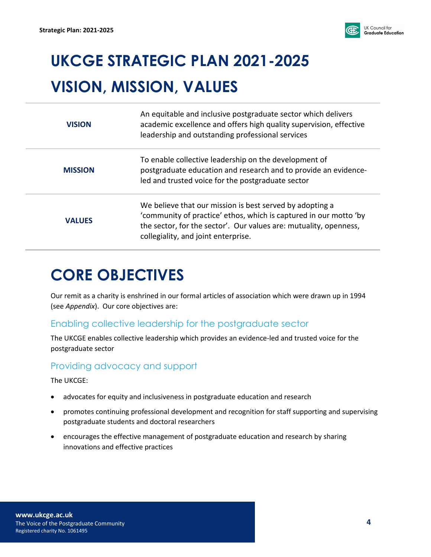

# **UKCGE STRATEGIC PLAN 2021-2025 VISION, MISSION, VALUES**

| <b>VISION</b>  | An equitable and inclusive postgraduate sector which delivers<br>academic excellence and offers high quality supervision, effective<br>leadership and outstanding professional services                                                   |
|----------------|-------------------------------------------------------------------------------------------------------------------------------------------------------------------------------------------------------------------------------------------|
| <b>MISSION</b> | To enable collective leadership on the development of<br>postgraduate education and research and to provide an evidence-<br>led and trusted voice for the postgraduate sector                                                             |
| <b>VALUES</b>  | We believe that our mission is best served by adopting a<br>'community of practice' ethos, which is captured in our motto 'by<br>the sector, for the sector'. Our values are: mutuality, openness,<br>collegiality, and joint enterprise. |

# **CORE OBJECTIVES**

Our remit as a charity is enshrined in our formal articles of association which were drawn up in 1994 (see *Appendix*). Our core objectives are:

# Enabling collective leadership for the postgraduate sector

The UKCGE enables collective leadership which provides an evidence-led and trusted voice for the postgraduate sector

# Providing advocacy and support

The UKCGE:

- advocates for equity and inclusiveness in postgraduate education and research
- promotes continuing professional development and recognition for staff supporting and supervising postgraduate students and doctoral researchers
- encourages the effective management of postgraduate education and research by sharing innovations and effective practices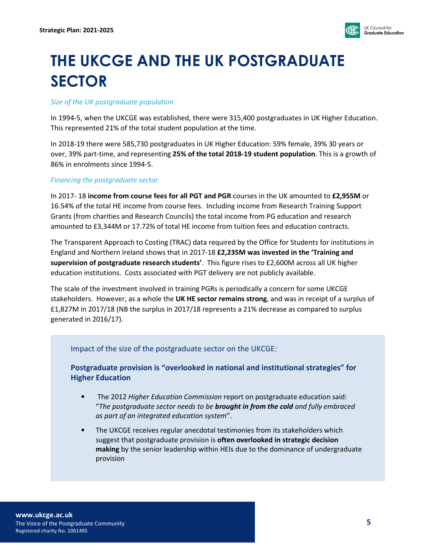

# **THE UKCGE AND THE UK POSTGRADUATE SECTOR**

#### *Size of the UK postgraduate population*

In 1994-5, when the UKCGE was established, there were 315,400 postgraduates in UK Higher Education. This represented 21% of the total student population at the time.

In 2018-19 there were 585,730 postgraduates in UK Higher Education: 59% female, 39% 30 years or over, 39% part-time, and representing **25% of the total 2018-19 student population**. This is a growth of 86% in enrolments since 1994-5.

### *Financing the postgraduate sector*

In 2017- 18 **income from course fees for all PGT and PGR** courses in the UK amounted to **£2,955M** or 16.54% of the total HE income from course fees. Including income from Research Training Support Grants (from charities and Research Councils) the total income from PG education and research amounted to £3,344M or 17.72% of total HE income from tuition fees and education contracts.

The Transparent Approach to Costing (TRAC) data required by the Office for Students for institutions in England and Northern Ireland shows that in 2017-18 **£2,235M was invested in the 'Training and supervision of postgraduate research students'**. This figure rises to £2,600M across all UK higher education institutions. Costs associated with PGT delivery are not publicly available.

The scale of the investment involved in training PGRs is periodically a concern for some UKCGE stakeholders. However, as a whole the **UK HE sector remains strong**, and was in receipt of a surplus of £1,827M in 2017/18 (NB the surplus in 2017/18 represents a 21% decrease as compared to surplus generated in 2016/17).

### Impact of the size of the postgraduate sector on the UKCGE:

**Postgraduate provision is "overlooked in national and institutional strategies" for Higher Education**

- The 2012 *Higher Education Commission* report on postgraduate education said: "*The postgraduate sector needs to be brought in from the cold and fully embraced as part of an integrated education system*".
- The UKCGE receives regular anecdotal testimonies from its stakeholders which suggest that postgraduate provision is **often overlooked in strategic decision making** by the senior leadership within HEIs due to the dominance of undergraduate provision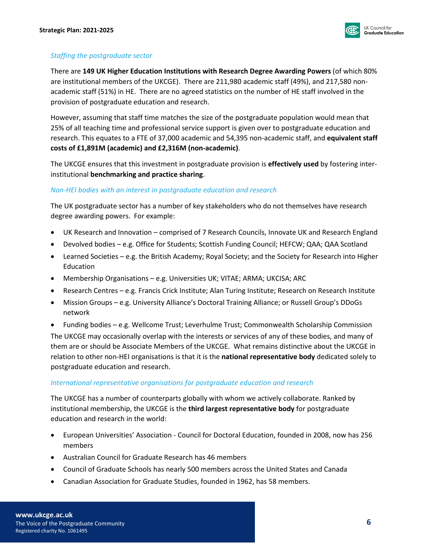

### *Staffing the postgraduate sector*

There are **149 UK Higher Education Institutions with Research Degree Awarding Powers** (of which 80% are institutional members of the UKCGE). There are 211,980 academic staff (49%), and 217,580 nonacademic staff (51%) in HE. There are no agreed statistics on the number of HE staff involved in the provision of postgraduate education and research.

However, assuming that staff time matches the size of the postgraduate population would mean that 25% of all teaching time and professional service support is given over to postgraduate education and research. This equates to a FTE of 37,000 academic and 54,395 non-academic staff, and **equivalent staff costs of £1,891M (academic) and £2,316M (non-academic)**.

The UKCGE ensures that this investment in postgraduate provision is **effectively used** by fostering interinstitutional **benchmarking and practice sharing**.

#### *Non-HEI bodies with an interest in postgraduate education and research*

The UK postgraduate sector has a number of key stakeholders who do not themselves have research degree awarding powers. For example:

- UK Research and Innovation comprised of 7 Research Councils, Innovate UK and Research England
- Devolved bodies e.g. Office for Students; Scottish Funding Council; HEFCW; QAA; QAA Scotland
- Learned Societies e.g. the British Academy; Royal Society; and the Society for Research into Higher Education
- Membership Organisations e.g. Universities UK; VITAE; ARMA; UKCISA; ARC
- Research Centres e.g. Francis Crick Institute; Alan Turing Institute; Research on Research Institute
- Mission Groups e.g. University Alliance's Doctoral Training Alliance; or Russell Group's DDoGs network

• Funding bodies – e.g. Wellcome Trust; Leverhulme Trust; Commonwealth Scholarship Commission The UKCGE may occasionally overlap with the interests or services of any of these bodies, and many of them are or should be Associate Members of the UKCGE. What remains distinctive about the UKCGE in relation to other non-HEI organisations is that it is the **national representative body** dedicated solely to postgraduate education and research.

### *International representative organisations for postgraduate education and research*

The UKCGE has a number of counterparts globally with whom we actively collaborate. Ranked by institutional membership, the UKCGE is the **third largest representative body** for postgraduate education and research in the world:

- European Universities' Association Council for Doctoral Education, founded in 2008, now has 256 members
- Australian Council for Graduate Research has 46 members
- Council of Graduate Schools has nearly 500 members across the United States and Canada
- Canadian Association for Graduate Studies, founded in 1962, has 58 members.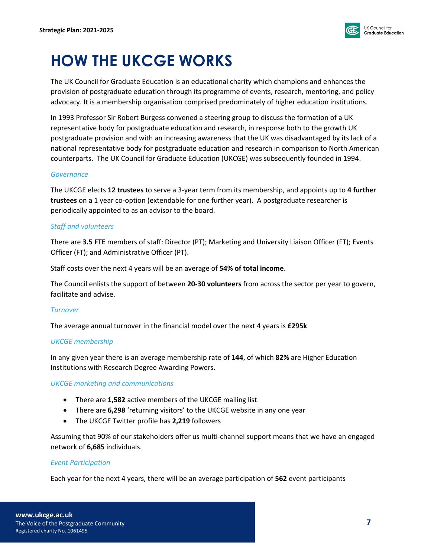

# **HOW THE UKCGE WORKS**

The UK Council for Graduate Education is an educational charity which champions and enhances the provision of postgraduate education through its programme of events, research, mentoring, and policy advocacy. It is a membership organisation comprised predominately of higher education institutions.

In 1993 Professor Sir Robert Burgess convened a steering group to discuss the formation of a UK representative body for postgraduate education and research, in response both to the growth UK postgraduate provision and with an increasing awareness that the UK was disadvantaged by its lack of a national representative body for postgraduate education and research in comparison to North American counterparts. The UK Council for Graduate Education (UKCGE) was subsequently founded in 1994.

### *Governance*

The UKCGE elects **12 trustees** to serve a 3-year term from its membership, and appoints up to **4 further trustees** on a 1 year co-option (extendable for one further year). A postgraduate researcher is periodically appointed to as an advisor to the board.

### *Staff and volunteers*

There are **3.5 FTE** members of staff: Director (PT); Marketing and University Liaison Officer (FT); Events Officer (FT); and Administrative Officer (PT).

Staff costs over the next 4 years will be an average of **54% of total income**.

The Council enlists the support of between **20-30 volunteers** from across the sector per year to govern, facilitate and advise.

### *Turnover*

The average annual turnover in the financial model over the next 4 years is **£295k**

### *UKCGE membership*

In any given year there is an average membership rate of **144**, of which **82%** are Higher Education Institutions with Research Degree Awarding Powers.

#### *UKCGE marketing and communications*

- There are **1,582** active members of the UKCGE mailing list
- There are **6,298** 'returning visitors' to the UKCGE website in any one year
- The UKCGE Twitter profile has **2,219** followers

Assuming that 90% of our stakeholders offer us multi-channel support means that we have an engaged network of **6,685** individuals.

### *Event Participation*

Each year for the next 4 years, there will be an average participation of **562** event participants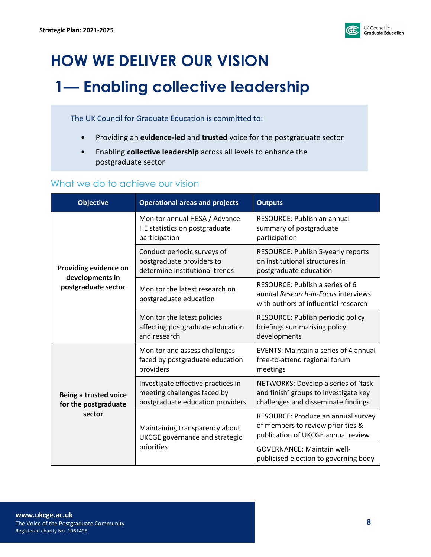

# **HOW WE DELIVER OUR VISION 1— Enabling collective leadership**

The UK Council for Graduate Education is committed to:

- Providing an **evidence-led** and **trusted** voice for the postgraduate sector
- Enabling **collective leadership** across all levels to enhance the postgraduate sector

### What we do to achieve our vision

| <b>Objective</b>                                                | <b>Operational areas and projects</b>                                                                 | <b>Outputs</b>                                                                                                      |
|-----------------------------------------------------------------|-------------------------------------------------------------------------------------------------------|---------------------------------------------------------------------------------------------------------------------|
| Providing evidence on<br>developments in<br>postgraduate sector | Monitor annual HESA / Advance<br>HE statistics on postgraduate<br>participation                       | <b>RESOURCE: Publish an annual</b><br>summary of postgraduate<br>participation                                      |
|                                                                 | Conduct periodic surveys of<br>postgraduate providers to<br>determine institutional trends            | RESOURCE: Publish 5-yearly reports<br>on institutional structures in<br>postgraduate education                      |
|                                                                 | Monitor the latest research on<br>postgraduate education                                              | RESOURCE: Publish a series of 6<br>annual Research-in-Focus interviews<br>with authors of influential research      |
|                                                                 | Monitor the latest policies<br>affecting postgraduate education<br>and research                       | RESOURCE: Publish periodic policy<br>briefings summarising policy<br>developments                                   |
| <b>Being a trusted voice</b><br>for the postgraduate<br>sector  | Monitor and assess challenges<br>faced by postgraduate education<br>providers                         | <b>EVENTS: Maintain a series of 4 annual</b><br>free-to-attend regional forum<br>meetings                           |
|                                                                 | Investigate effective practices in<br>meeting challenges faced by<br>postgraduate education providers | NETWORKS: Develop a series of 'task<br>and finish' groups to investigate key<br>challenges and disseminate findings |
|                                                                 | Maintaining transparency about<br><b>UKCGE</b> governance and strategic<br>priorities                 | RESOURCE: Produce an annual survey<br>of members to review priorities &<br>publication of UKCGE annual review       |
|                                                                 |                                                                                                       | <b>GOVERNANCE: Maintain well-</b><br>publicised election to governing body                                          |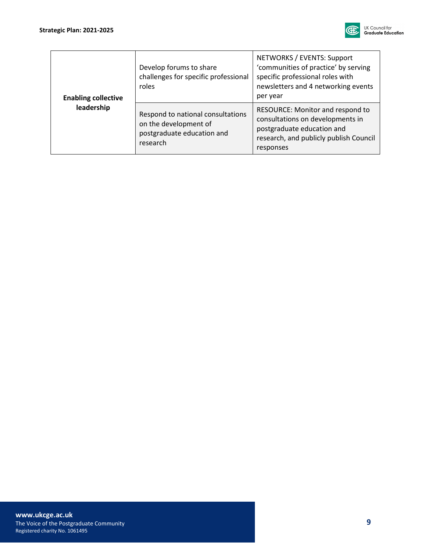

| <b>Enabling collective</b><br>leadership | Develop forums to share<br>challenges for specific professional<br>roles                             | NETWORKS / EVENTS: Support<br>'communities of practice' by serving<br>specific professional roles with<br>newsletters and 4 networking events<br>per year |
|------------------------------------------|------------------------------------------------------------------------------------------------------|-----------------------------------------------------------------------------------------------------------------------------------------------------------|
|                                          | Respond to national consultations<br>on the development of<br>postgraduate education and<br>research | RESOURCE: Monitor and respond to<br>consultations on developments in<br>postgraduate education and<br>research, and publicly publish Council<br>responses |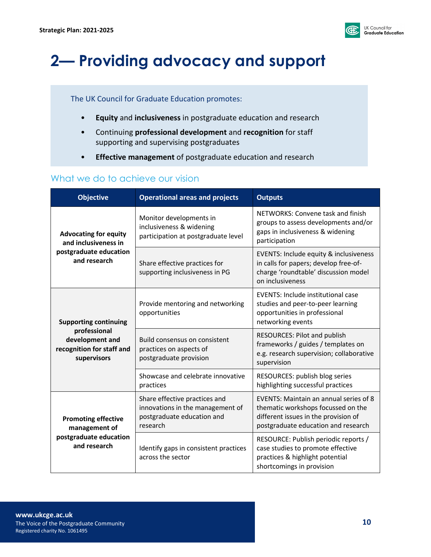

# **2— Providing advocacy and support**

### The UK Council for Graduate Education promotes:

- **Equity** and **inclusiveness** in postgraduate education and research
- Continuing **professional development** and **recognition** for staff supporting and supervising postgraduates
- **Effective management** of postgraduate education and research

### What we do to achieve our vision

| <b>Objective</b>                                                                                            | <b>Operational areas and projects</b>                                                                       | <b>Outputs</b>                                                                                                                                              |
|-------------------------------------------------------------------------------------------------------------|-------------------------------------------------------------------------------------------------------------|-------------------------------------------------------------------------------------------------------------------------------------------------------------|
| <b>Advocating for equity</b><br>and inclusiveness in<br>postgraduate education<br>and research              | Monitor developments in<br>inclusiveness & widening<br>participation at postgraduate level                  | NETWORKS: Convene task and finish<br>groups to assess developments and/or<br>gaps in inclusiveness & widening<br>participation                              |
|                                                                                                             | Share effective practices for<br>supporting inclusiveness in PG                                             | EVENTS: Include equity & inclusiveness<br>in calls for papers; develop free-of-<br>charge 'roundtable' discussion model<br>on inclusiveness                 |
| <b>Supporting continuing</b><br>professional<br>development and<br>recognition for staff and<br>supervisors | Provide mentoring and networking<br>opportunities                                                           | <b>EVENTS: Include institutional case</b><br>studies and peer-to-peer learning<br>opportunities in professional<br>networking events                        |
|                                                                                                             | Build consensus on consistent<br>practices on aspects of<br>postgraduate provision                          | RESOURCES: Pilot and publish<br>frameworks / guides / templates on<br>e.g. research supervision; collaborative<br>supervision                               |
|                                                                                                             | Showcase and celebrate innovative<br>practices                                                              | RESOURCES: publish blog series<br>highlighting successful practices                                                                                         |
| <b>Promoting effective</b><br>management of<br>postgraduate education<br>and research                       | Share effective practices and<br>innovations in the management of<br>postgraduate education and<br>research | EVENTS: Maintain an annual series of 8<br>thematic workshops focussed on the<br>different issues in the provision of<br>postgraduate education and research |
|                                                                                                             | Identify gaps in consistent practices<br>across the sector                                                  | RESOURCE: Publish periodic reports /<br>case studies to promote effective<br>practices & highlight potential<br>shortcomings in provision                   |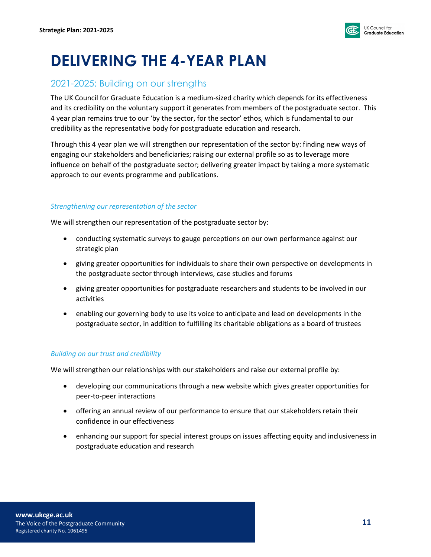

# **DELIVERING THE 4-YEAR PLAN**

### 2021-2025: Building on our strengths

The UK Council for Graduate Education is a medium-sized charity which depends for its effectiveness and its credibility on the voluntary support it generates from members of the postgraduate sector. This 4 year plan remains true to our 'by the sector, for the sector' ethos, which is fundamental to our credibility as the representative body for postgraduate education and research.

Through this 4 year plan we will strengthen our representation of the sector by: finding new ways of engaging our stakeholders and beneficiaries; raising our external profile so as to leverage more influence on behalf of the postgraduate sector; delivering greater impact by taking a more systematic approach to our events programme and publications.

### *Strengthening our representation of the sector*

We will strengthen our representation of the postgraduate sector by:

- conducting systematic surveys to gauge perceptions on our own performance against our strategic plan
- giving greater opportunities for individuals to share their own perspective on developments in the postgraduate sector through interviews, case studies and forums
- giving greater opportunities for postgraduate researchers and students to be involved in our activities
- enabling our governing body to use its voice to anticipate and lead on developments in the postgraduate sector, in addition to fulfilling its charitable obligations as a board of trustees

### *Building on our trust and credibility*

We will strengthen our relationships with our stakeholders and raise our external profile by:

- developing our communications through a new website which gives greater opportunities for peer-to-peer interactions
- offering an annual review of our performance to ensure that our stakeholders retain their confidence in our effectiveness
- enhancing our support for special interest groups on issues affecting equity and inclusiveness in postgraduate education and research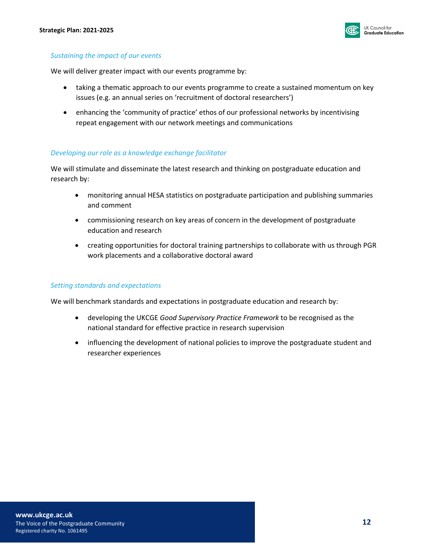

#### *Sustaining the impact of our events*

We will deliver greater impact with our events programme by:

- taking a thematic approach to our events programme to create a sustained momentum on key issues (e.g. an annual series on 'recruitment of doctoral researchers')
- enhancing the 'community of practice' ethos of our professional networks by incentivising repeat engagement with our network meetings and communications

#### *Developing our role as a knowledge exchange facilitator*

We will stimulate and disseminate the latest research and thinking on postgraduate education and research by:

- monitoring annual HESA statistics on postgraduate participation and publishing summaries and comment
- commissioning research on key areas of concern in the development of postgraduate education and research
- creating opportunities for doctoral training partnerships to collaborate with us through PGR work placements and a collaborative doctoral award

#### *Setting standards and expectations*

We will benchmark standards and expectations in postgraduate education and research by:

- developing the UKCGE *Good Supervisory Practice Framework* to be recognised as the national standard for effective practice in research supervision
- influencing the development of national policies to improve the postgraduate student and researcher experiences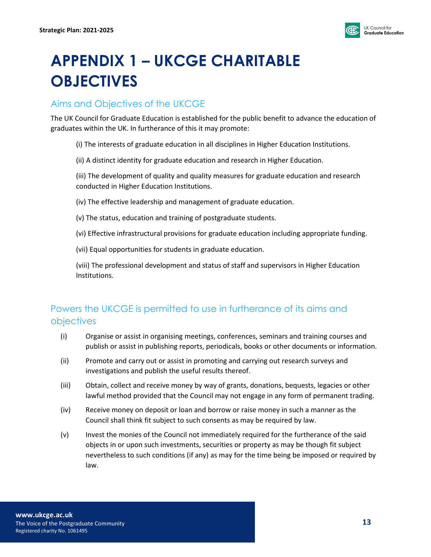

# **APPENDIX 1 – UKCGE CHARITABLE OBJECTIVES**

# Aims and Objectives of the UKCGE

The UK Council for Graduate Education is established for the public benefit to advance the education of graduates within the UK. In furtherance of this it may promote:

(i) The interests of graduate education in all disciplines in Higher Education Institutions.

(ii) A distinct identity for graduate education and research in Higher Education.

(iii) The development of quality and quality measures for graduate education and research conducted in Higher Education Institutions.

- (iv) The effective leadership and management of graduate education.
- (v) The status, education and training of postgraduate students.
- (vi) Effective infrastructural provisions for graduate education including appropriate funding.
- (vii) Equal opportunities for students in graduate education.

(viii) The professional development and status of staff and supervisors in Higher Education Institutions.

# Powers the UKCGE is permitted to use in furtherance of its aims and objectives

- (i) Organise or assist in organising meetings, conferences, seminars and training courses and publish or assist in publishing reports, periodicals, books or other documents or information.
- (ii) Promote and carry out or assist in promoting and carrying out research surveys and investigations and publish the useful results thereof.
- (iii) Obtain, collect and receive money by way of grants, donations, bequests, legacies or other lawful method provided that the Council may not engage in any form of permanent trading.
- (iv) Receive money on deposit or loan and borrow or raise money in such a manner as the Council shall think fit subject to such consents as may be required by law.
- (v) Invest the monies of the Council not immediately required for the furtherance of the said objects in or upon such investments, securities or property as may be though fit subject nevertheless to such conditions (if any) as may for the time being be imposed or required by law.